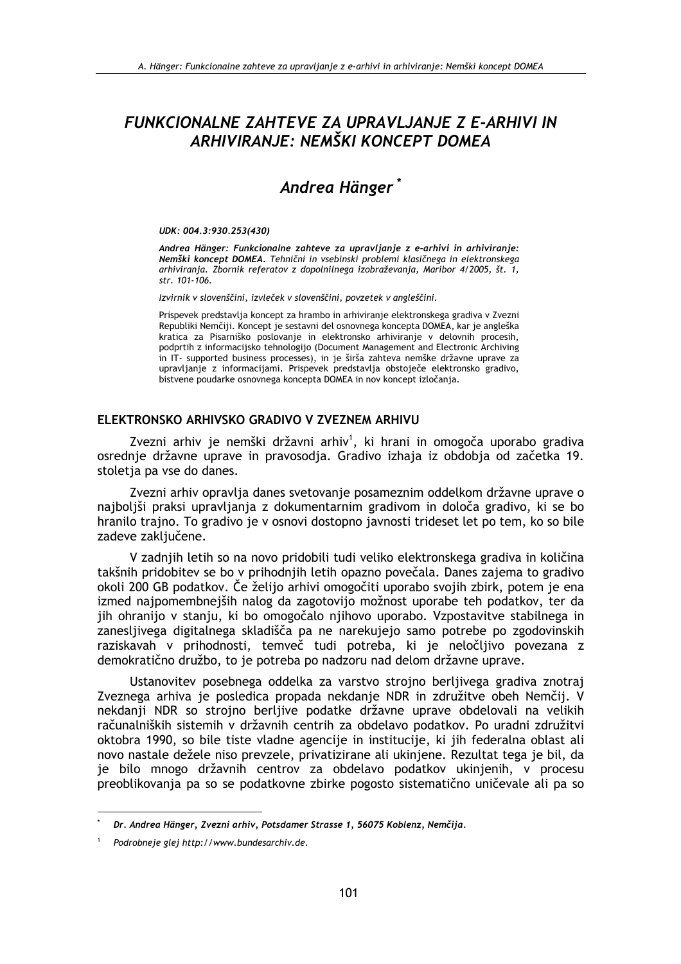# FUNKCIONALNE ZAHTEVE ZA UPRAVLJANJE Z E-ARHIVI IN ARHIVIRANJE: NEMŠKI KONCEPT DOMEA

# Andrea Hänger\*

#### UDK: 004.3:930.253(430)

Andrea Hänger: Funkcionalne zahteve za upravlianie z e-arhivi in arhiviranie: Nemški koncept DOMEA. Tehnični in vsebinski problemi klasičnega in elektronskega arhiviranja. Zbornik referatov z dopolnilnega izobraževanja, Maribor 4/2005, št. 1, str. 101-106.

Izvirnik v slovenščini, izvleček v slovenščini, povzetek v angleščini.

Prispevek predstavlja koncept za hrambo in arhiviranje elektronskega gradiva v Zvezni Republiki Nemčiji. Koncept je sestavni del osnovnega koncepta DOMEA, kar je angleška kratica za Pisarniško poslovanje in elektronsko arhiviranje v delovnih procesih, podprtih z informacijsko tehnologijo (Document Management and Electronic Archiving in IT- supported business processes), in je širša zahteva nemške državne uprave za upravljanje z informacijami. Prispevek predstavlja obstoječe elektronsko gradivo, bistvene poudarke osnovnega koncepta DOMEA in nov koncept izločanja.

#### ELEKTRONSKO ARHIVSKO GRADIVO V ZVEZNEM ARHIVU

Zvezni arhiv je nemški državni arhiv<sup>1</sup>, ki hrani in omogoča uporabo gradiva osrednje državne uprave in pravosodja. Gradivo izhaja iz obdobja od začetka 19. stoletja pa vse do danes.

Zvezni arhiv opravlja danes svetovanje posameznim oddelkom državne uprave o najboljši praksi upravljanja z dokumentarnim gradivom in določa gradivo, ki se bo hranilo trajno. To gradivo je v osnovi dostopno javnosti trideset let po tem, ko so bile zadeve zaključene.

V zadnjih letih so na novo pridobili tudi veliko elektronskega gradiva in količina takšnih pridobitev se bo v prihodnjih letih opazno povečala. Danes zajema to gradivo okoli 200 GB podatkov. Če želijo arhivi omogočiti uporabo svojih zbirk, potem je ena izmed najpomembnejših nalog da zagotovijo možnost uporabe teh podatkov, ter da jih ohranijo v stanju, ki bo omogočalo njihovo uporabo. Vzpostavitve stabilnega in zanesljivega digitalnega skladišča pa ne narekujejo samo potrebe po zgodovinskih raziskavah v prihodnosti, temveč tudi potreba, ki je neločljivo povezana z demokratično družbo, to je potreba po nadzoru nad delom državne uprave.

Ustanovitev posebnega oddelka za varstvo strojno berljivega gradiva znotraj Zveznega arhiva je posledica propada nekdanje NDR in združitve obeh Nemčij. V nekdanji NDR so strojno berljive podatke državne uprave obdelovali na velikih računalniških sistemih v državnih centrih za obdelavo podatkov. Po uradni združitvi oktobra 1990, so bile tiste vladne agencije in institucije, ki jih federalna oblast ali novo nastale dežele niso prevzele, privatizirane ali ukiniene. Rezultat tega je bil, da je bilo mnogo državnih centrov za obdelavo podatkov ukinjenih, v procesu preoblikovania pa so se podatkovne zbirke pogosto sistematično uničevale ali pa so

Dr. Andrea Hänger, Zvezni arhiv, Potsdamer Strasse 1, 56075 Koblenz, Nemčija.

Podrobneie glei http://www.bundesarchiv.de.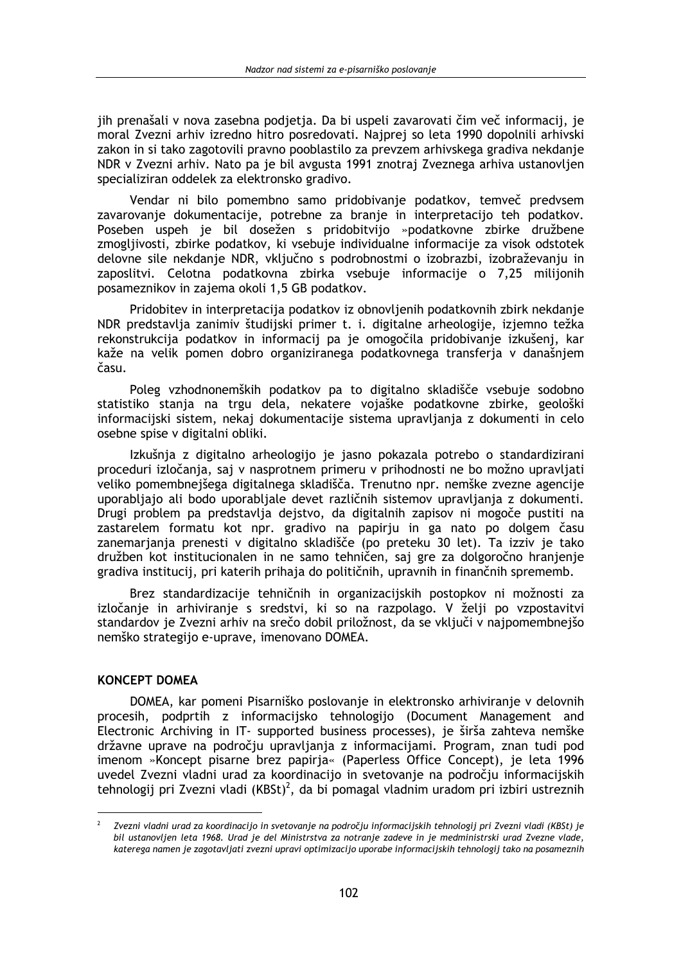jih prenašali v nova zasebna podjetia. Da bi uspeli zavarovati čim več informacij, je moral Zvezni arhiv izredno hitro posredovati. Naiprej so leta 1990 dopolnili arhivski zakon in si tako zagotovili pravno pooblastilo za prevzem arhivskega gradiva nekdanje NDR v Zvezni arhiv. Nato pa je bil avgusta 1991 znotraj Zveznega arhiva ustanovljen specializiran oddelek za elektronsko gradivo.

Vendar ni bilo pomembno samo pridobivanje podatkov, temveč predvsem zavarovanje dokumentacije, potrebne za branje in interpretacijo teh podatkov. Poseben uspeh je bil dosežen s pridobitvijo »podatkovne zbirke družbene zmogljivosti, zbirke podatkov, ki vsebuje individualne informacije za visok odstotek delovne sile nekdanje NDR, vključno s podrobnostmi o izobrazbi, izobraževanju in zaposlitvi. Celotna podatkovna zbirka vsebuje informacije o 7,25 milijonih posameznikov in zajema okoli 1,5 GB podatkov.

Pridobitev in interpretacija podatkov iz obnovljenih podatkovnih zbirk nekdanje NDR predstavlja zanimiv študijski primer t. i. digitalne arheologije, izjemno težka rekonstrukcija podatkov in informacij pa je omogočila pridobivanje izkušenj, kar kaže na velik pomen dobro organiziranega podatkovnega transferja v današnjem času.

Poleg vzhodnonemških podatkov pa to digitalno skladišče vsebuje sodobno statistiko stanja na trgu dela, nekatere vojaške podatkovne zbirke, geološki informacijski sistem, nekaj dokumentacije sistema upravljanja z dokumenti in celo osebne spise v digitalni obliki.

Izkušnja z digitalno arheologijo je jasno pokazala potrebo o standardizirani proceduri izločanja, saj v nasprotnem primeru v prihodnosti ne bo možno upravljati veliko pomembnejšega digitalnega skladišča. Trenutno npr. nemške zvezne agencije uporabliajo ali bodo uporabliale devet različnih sistemov upravliania z dokumenti. Drugi problem pa predstavlja dejstvo, da digitalnih zapisov ni mogoče pustiti na zastarelem formatu kot npr. gradivo na papirju in ga nato po dolgem času zanemariania prenesti v digitalno skladišče (po preteku 30 let). Ta izziv je tako družben kot institucionalen in ne samo tehničen, saj gre za dolgoročno hranjenje gradiva institucij, pri katerih prihaja do političnih, upravnih in finančnih sprememb.

Brez standardizacije tehničnih in organizacijskih postopkov ni možnosti za izločanie in arhiviranie s sredstvi, ki so na razpolago. V želii po vzpostavitvi standardov je Zvezni arhiv na srečo dobil priložnost, da se vključi v najpomembnejšo nemško strategijo e-uprave, imenovano DOMEA.

## **KONCEPT DOMEA**

DOMEA, kar pomeni Pisarniško poslovanje in elektronsko arhiviranje v delovnih procesih, podprtih z informacijsko tehnologijo (Document Management and Electronic Archiving in IT- supported business processes), je širša zahteva nemške državne uprave na področju upravljanja z informacijami. Program, znan tudi pod imenom »Koncept pisarne brez papiria« (Paperless Office Concept), je leta 1996 uvedel Zvezni vladni urad za koordinacijo in svetovanje na področju informacijskih tehnologij pri Zvezni vladi  $(KBSt)^2$ , da bi pomagal vladnim uradom pri izbiri ustreznih

Zvezni vladni urad za koordinacijo in svetovanje na področju informacijskih tehnologij pri Zvezni vladi (KBSt) je bil ustanovljen leta 1968. Urad je del Ministrstva za notranje zadeve in je medministrski urad Zvezne vlade, katerega namen je zagotavljati zvezni upravi optimizacijo uporabe informacijskih tehnologij tako na posameznih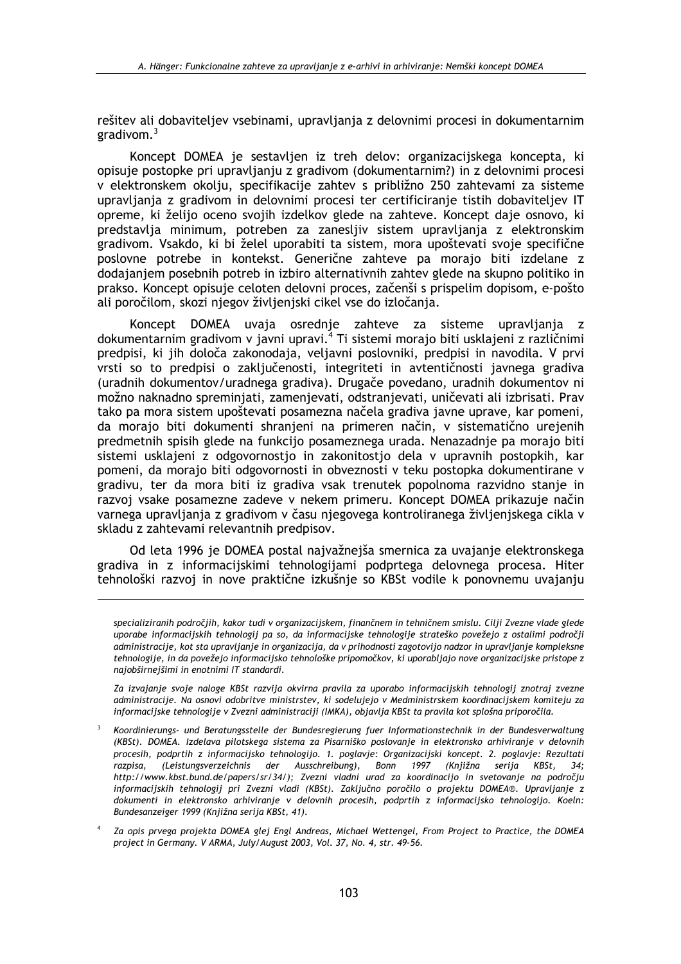rešitev ali dobaviteliev vsebinami, upravliania z delovnimi procesi in dokumentarnim gradivom. $3$ 

Koncept DOMEA je sestavljen iz treh delov: organizacijskega koncepta, ki opisuje postopke pri upravljanju z gradivom (dokumentarnim?) in z delovnimi procesi v elektronskem okolju, specifikacije zahtev s približno 250 zahtevami za sisteme upravljanja z gradivom in delovnimi procesi ter certificiranje tistih dobaviteljev IT opreme, ki želijo oceno svojih izdelkov glede na zahteve. Koncept daje osnovo, ki predstavlja minimum, potreben za zanesljiv sistem upravljanja z elektronskim gradivom. Vsakdo, ki bi želel uporabiti ta sistem, mora upoštevati svoje specifične poslovne potrebe in kontekst. Generične zahteve pa morajo biti izdelane z dodajanjem posebnih potreb in izbiro alternativnih zahtev glede na skupno politiko in prakso. Koncept opisuje celoten delovni proces, začenši s prispelim dopisom, e-pošto ali poročilom, skozi njegov življenjski cikel vse do izločanja.

Koncept DOMEA uvaja osrednje zahteve za sisteme upravljanja z dokumentarnim gradivom v javni upravi.<sup>4</sup> Ti sistemi morajo biti usklajeni z različnimi predpisi, ki jih določa zakonodaja, veljavni poslovniki, predpisi in navodila. V prvi vrsti so to predpisi o zaključenosti, integriteti in avtentičnosti javnega gradiva (uradnih dokumentov/uradnega gradiva). Drugače povedano, uradnih dokumentov ni možno naknadno spreminjati, zamenjevati, odstranjevati, uničevati ali izbrisati. Prav tako pa mora sistem upoštevati posamezna načela gradiva javne uprave, kar pomeni, da morajo biti dokumenti shranjeni na primeren način, v sistematično urejenih predmetnih spisih glede na funkcijo posameznega urada. Nenazadnje pa morajo biti sistemi usklajeni z odgovornostjo in zakonitostjo dela v upravnih postopkih, kar pomeni, da morajo biti odgovornosti in obveznosti v teku postopka dokumentirane v gradivu, ter da mora biti iz gradiva vsak trenutek popolnoma razvidno stanje in razvoj vsake posamezne zadeve v nekem primeru. Koncept DOMEA prikazuje način varnega upravljanja z gradivom v času njegovega kontroliranega življenjskega cikla v skladu z zahtevami relevantnih predpisov.

Od leta 1996 je DOMEA postal najvažnejša smernica za uvajanje elektronskega gradiva in z informacijskimi tehnologijami podprtega delovnega procesa. Hiter tehnološki razvoj in nove praktične izkušnje so KBSt vodile k ponovnemu uvajanju

Za izvajanje svoje naloge KBSt razvija okvirna pravila za uporabo informacijskih tehnologij znotraj zvezne administracije. Na osnovi odobritve ministrstev, ki sodelujejo v Medministrskem koordinacijskem komiteju za informacijske tehnologije v Zvezni administraciji (IMKA), objavlja KBSt ta pravila kot splošna priporočila.

- $\mathbf{R}$ Koordinierungs- und Beratungsstelle der Bundesregierung fuer Informationstechnik in der Bundesverwaltung (KBSt). DOMEA. Izdelava pilotskega sistema za Pisarniško poslovanje in elektronsko arhiviranje v delovnih procesih, podprtih z informacijsko tehnologijo. 1. poglavje: Organizacijski koncept. 2. poglavje: Rezultati razpisa, (Leistungsverzeichnis der Ausschreibung), Bonn 1997 (Knjižna serija KBSt,  $34:$ http://www.kbst.bund.de/papers/sr/34/); Zvezni vladni urad za koordinacijo in svetovanje na področju informacijskih tehnologij pri Zvezni vladi (KBSt). Zaključno poročilo o projektu DOMEA®. Upravljanje z dokumenti in elektronsko arhiviranie v delovnih procesih, podprtih z informacijsko tehnologijo. Koeln: Bundesanzeiger 1999 (Knjižna serija KBSt, 41).
- Za opis prvega projekta DOMEA glej Engl Andreas, Michael Wettengel, From Project to Practice, the DOMEA project in Germany. V ARMA, July/August 2003, Vol. 37, No. 4, str. 49-56.

specializiranih področjih, kakor tudi v organizacijskem, finančnem in tehničnem smislu. Cilji Zvezne vlade glede uporabe informacijskih tehnologij pa so, da informacijske tehnologije strateško povežejo z ostalimi področji administracije, kot sta upravljanje in organizacija, da v prihodnosti zagotovijo nadzor in upravljanje kompleksne tehnologije, in da povežejo informacijsko tehnološke pripomočkov, ki uporabljajo nove organizacijske pristope z najobširnejšimi in enotnimi IT standardi.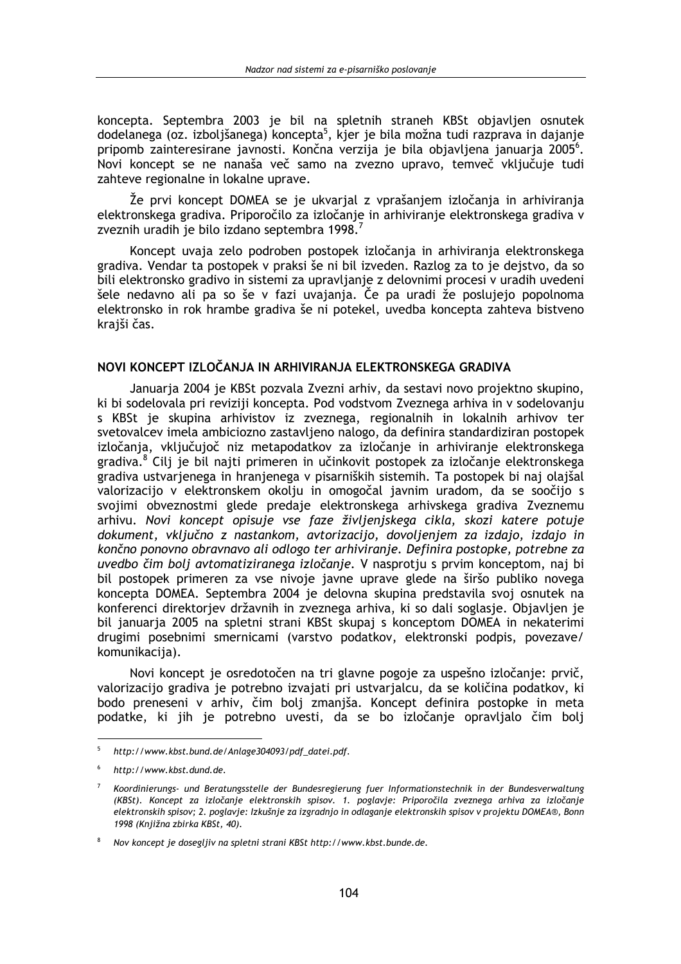koncepta. Septembra 2003 je bil na spletnih straneh KBSt objavljen osnutek dodelanega (oz. izboljšanega) koncepta<sup>5</sup>, kjer je bila možna tudi razprava in dajanje pripomb zainteresirane javnosti. Končna verzija je bila objavljena januarja 2005<sup>6</sup>. Novi koncept se ne nanaša več samo na zvezno upravo, temveč vključuje tudi zahteve regionalne in lokalne uprave.

Že prvi koncept DOMEA se je ukvarjal z vprašanjem izločanja in arhiviranja elektronskega gradiva. Priporočilo za izločanje in arhiviranje elektronskega gradiva v zveznih uradih je bilo izdano septembra 1998.

Koncept uvaja zelo podroben postopek izločanja in arhiviranja elektronskega gradiva. Vendar ta postopek v praksi še ni bil izveden. Razlog za to je dejstvo, da so bili elektronsko gradivo in sistemi za upravljanje z delovnimi procesi v uradih uvedeni šele nedavno ali pa so še v fazi uvajanja. Če pa uradi že poslujejo popolnoma elektronsko in rok hrambe gradiva še ni potekel, uvedba koncepta zahteva bistveno krajši čas.

### NOVI KONCEPT IZLOČANJA IN ARHIVIRANJA ELEKTRONSKEGA GRADIVA

Januarja 2004 je KBSt pozvala Zvezni arhiv, da sestavi novo projektno skupino, ki bi sodelovala pri reviziji koncepta. Pod vodstvom Zveznega arhiva in v sodelovanju s KBSt je skupina arhivistov iz zveznega, regionalnih in lokalnih arhivov ter svetovalcev imela ambiciozno zastavljeno nalogo, da definira standardiziran postopek izločanja, vključujoč niz metapodatkov za izločanje in arhiviranje elektronskega gradiva.<sup>8</sup> Cili je bil najti primeren in učinkovit postopek za izločanje elektronskega gradiva ustvarjenega in hranjenega v pisarniških sistemih. Ta postopek bi naj olajšal valorizacijo v elektronskem okolju in omogočal javnim uradom, da se soočijo s svojimi obveznostmi glede predaje elektronskega arhivskega gradiva Zveznemu arhivu. Novi koncept opisuje vse faze življenjskega cikla, skozi katere potuje dokument, vključno z nastankom, avtorizacijo, dovoljenjem za izdajo, izdajo in končno ponovno obravnavo ali odlogo ter arhiviranie. Definira postopke, potrebne za uvedbo čim bolj avtomatiziranega izločanje. V nasprotju s prvim konceptom, naj bi bil postopek primeren za vse nivoje javne uprave glede na širšo publiko novega koncepta DOMEA. Septembra 2004 je delovna skupina predstavila svoj osnutek na konferenci direktoriev državnih in zveznega arhiva, ki so dali soglasie. Obiavlien je bil januaria 2005 na spletni strani KBSt skupaj s konceptom DOMEA in nekaterimi drugimi posebnimi smernicami (varstvo podatkov, elektronski podpis, povezave/ komunikacija).

Novi koncept je osredotočen na tri glavne pogoje za uspešno izločanje: prvič, valorizacijo gradiva je potrebno izvajati pri ustvarjalcu, da se količina podatkov, ki bodo preneseni v arhiv, čim bolj zmanjša. Koncept definira postopke in meta podatke, ki jih je potrebno uvesti, da se bo izločanje opravljalo čim bolj

http://www.kbst.bund.de/Anlage304093/pdf\_datei.pdf.

http://www.kbst.dund.de.

Koordinierungs- und Beratungsstelle der Bundesregierung fuer Informationstechnik in der Bundesverwaltung (KBSt). Koncept za izločanie elektronskih spisov. 1. poglavie: Priporočila zveznega arhiva za izločanie elektronskih spisov; 2. poglavje: Izkušnje za izgradnjo in odlaganje elektronskih spisov v projektu DOMEA®, Bonn 1998 (Knjižna zbirka KBSt, 40).

Nov koncept je doseglijy na spletni strani KBSt http://www.kbst.bunde.de.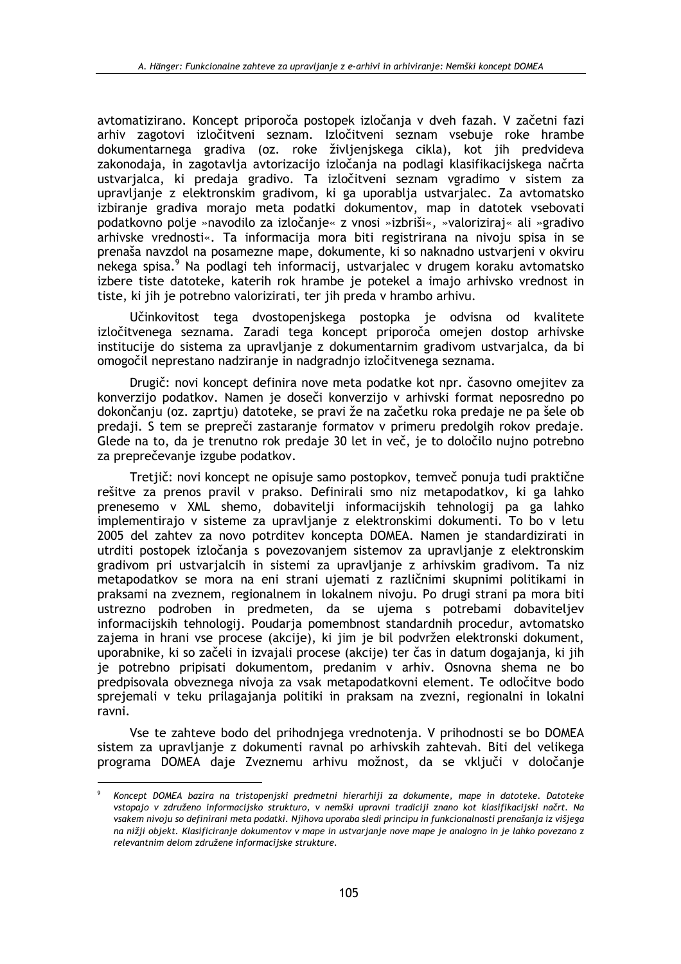avtomatizirano. Koncept priporoča postopek izločania v dveh fazah. V začetni fazi arhiv zagotovi izločitveni seznam. Izločitveni seznam vsebuje roke hrambe dokumentarnega gradiva (oz. roke življenjskega cikla), kot jih predvideva zakonodaja, in zagotavlja avtorizacijo izločanja na podlagi klasifikacijskega načrta ustvarjalca, ki predaja gradivo. Ta izločitveni seznam vgradimo v sistem za upravljanje z elektronskim gradivom, ki ga uporablja ustvarjalec. Za avtomatsko izbiranie gradiva morajo meta podatki dokumentov, map in datotek ysebovati podatkovno polje »navodilo za izločanje« z vnosi »izbriši«, »valoriziraj« ali »gradivo arhivske vrednosti«. Ta informacija mora biti registrirana na nivoju spisa in se prenaša navzdol na posamezne mape, dokumente, ki so naknadno ustvarjeni v okviru nekega spisa.<sup>9</sup> Na podlagi teh informacij, ustvarjalec v drugem koraku avtomatsko izbere tiste datoteke, katerih rok hrambe je potekel a imajo arhivsko vrednost in tiste, ki jih je potrebno valorizirati, ter jih preda v hrambo arhivu.

Učinkovitost tega dvostopeniskega postopka je odvisna od kvalitete izločitvenega seznama. Zaradi tega koncept priporoča omejen dostop arhivske instituciie do sistema za upravlianie z dokumentarnim gradivom ustvarjalca, da bi omogočil neprestano nadziranje in nadgradnjo izločitvenega seznama.

Drugič: novi koncept definira nove meta podatke kot npr. časovno omejitev za konverzijo podatkov. Namen je doseči konverzijo v arhivski format neposredno po dokončanju (oz. zaprtju) datoteke, se pravi že na začetku roka predaje ne pa šele ob predaji. S tem se prepreči zastaranje formatov v primeru predolgih rokov predaje. Glede na to, da je trenutno rok predaje 30 let in več, je to določilo nujno potrebno za preprečevanje izgube podatkov.

Tretjič: novi koncept ne opisuje samo postopkov, temveč ponuja tudi praktične rešitve za prenos pravil v prakso. Definirali smo niz metapodatkov, ki ga lahko prenesemo v XML shemo, dobavitelji informacijskih tehnologij pa ga lahko implementirajo v sisteme za upravljanje z elektronskimi dokumenti. To bo v letu 2005 del zahtev za novo potrditev koncepta DOMEA. Namen je standardizirati in utrditi postopek izločanja s povezovanjem sistemov za upravljanje z elektronskim gradivom pri ustvarialcih in sistemi za upravljanje z arhivskim gradivom. Ta niz metapodatkov se mora na eni strani ujemati z različnimi skupnimi politikami in praksami na zveznem, regionalnem in lokalnem nivoju. Po drugi strani pa mora biti ustrezno podroben in predmeten, da se ujema s potrebami dobaviteliev informacijskih tehnologij. Poudarja pomembnost standardnih procedur, avtomatsko zajema in hrani vse procese (akcije), ki jim je bil podvržen elektronski dokument, uporabnike, ki so začeli in izvajali procese (akcije) ter čas in datum dogajanja, ki jih je potrebno pripisati dokumentom, predanim v arhiv. Osnovna shema ne bo predpisovala obveznega nivoja za vsak metapodatkovni element. Te odločitve bodo sprejemali v teku prilagajanja politiki in praksam na zvezni, regionalni in lokalni ravni.

Vse te zahteve bodo del prihodnjega vrednotenja. V prihodnosti se bo DOMEA sistem za upravljanje z dokumenti ravnal po arhivskih zahtevah. Biti del velikega programa DOMEA daje Zveznemu arhivu možnost, da se vključi v določanje

Koncept DOMEA bazira na tristopenjski predmetni hierarhiji za dokumente, mape in datoteke. Datoteke vstopajo v združeno informacijsko strukturo, v nemški upravni tradiciji znano kot klasifikacijski načrt. Na vsakem nivoju so definirani meta podatki. Njihova uporaba sledi principu in funkcionalnosti prenašanja iz višjega na nižji objekt. Klasificiranje dokumentov v mape in ustvarjanje nove mape je analogno in je lahko povezano z relevantnim delom združene informacijske strukture.